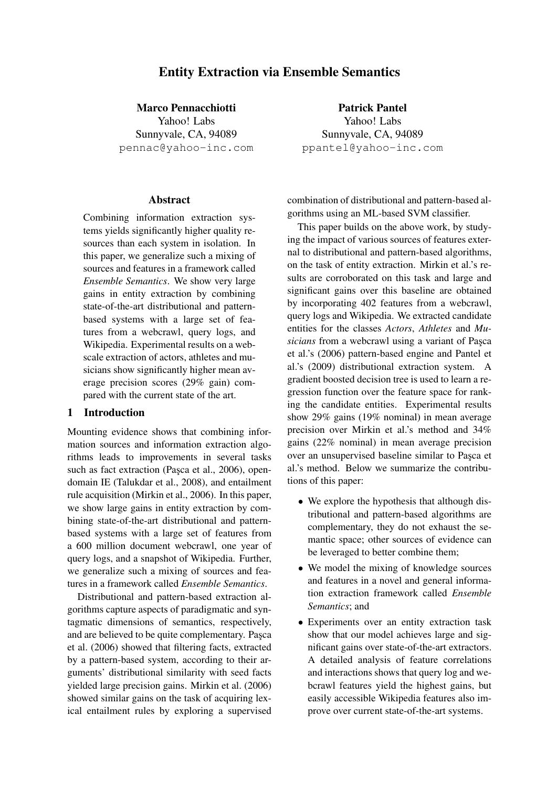# Entity Extraction via Ensemble Semantics

Marco Pennacchiotti

Yahoo! Labs Sunnyvale, CA, 94089 pennac@yahoo-inc.com

# Abstract

Combining information extraction systems yields significantly higher quality resources than each system in isolation. In this paper, we generalize such a mixing of sources and features in a framework called *Ensemble Semantics*. We show very large gains in entity extraction by combining state-of-the-art distributional and patternbased systems with a large set of features from a webcrawl, query logs, and Wikipedia. Experimental results on a webscale extraction of actors, athletes and musicians show significantly higher mean average precision scores (29% gain) compared with the current state of the art.

# 1 Introduction

Mounting evidence shows that combining information sources and information extraction algorithms leads to improvements in several tasks such as fact extraction (Pasca et al., 2006), opendomain IE (Talukdar et al., 2008), and entailment rule acquisition (Mirkin et al., 2006). In this paper, we show large gains in entity extraction by combining state-of-the-art distributional and patternbased systems with a large set of features from a 600 million document webcrawl, one year of query logs, and a snapshot of Wikipedia. Further, we generalize such a mixing of sources and features in a framework called *Ensemble Semantics*.

Distributional and pattern-based extraction algorithms capture aspects of paradigmatic and syntagmatic dimensions of semantics, respectively, and are believed to be quite complementary. Pasca et al. (2006) showed that filtering facts, extracted by a pattern-based system, according to their arguments' distributional similarity with seed facts yielded large precision gains. Mirkin et al. (2006) showed similar gains on the task of acquiring lexical entailment rules by exploring a supervised

Patrick Pantel Yahoo! Labs Sunnyvale, CA, 94089 ppantel@yahoo-inc.com

combination of distributional and pattern-based algorithms using an ML-based SVM classifier.

This paper builds on the above work, by studying the impact of various sources of features external to distributional and pattern-based algorithms, on the task of entity extraction. Mirkin et al.'s results are corroborated on this task and large and significant gains over this baseline are obtained by incorporating 402 features from a webcrawl, query logs and Wikipedia. We extracted candidate entities for the classes *Actors*, *Athletes* and *Musicians* from a webcrawl using a variant of Pasca et al.'s (2006) pattern-based engine and Pantel et al.'s (2009) distributional extraction system. A gradient boosted decision tree is used to learn a regression function over the feature space for ranking the candidate entities. Experimental results show 29% gains (19% nominal) in mean average precision over Mirkin et al.'s method and 34% gains (22% nominal) in mean average precision over an unsupervised baseline similar to Paşca et al.'s method. Below we summarize the contributions of this paper:

- We explore the hypothesis that although distributional and pattern-based algorithms are complementary, they do not exhaust the semantic space; other sources of evidence can be leveraged to better combine them;
- We model the mixing of knowledge sources and features in a novel and general information extraction framework called *Ensemble Semantics*; and
- Experiments over an entity extraction task show that our model achieves large and significant gains over state-of-the-art extractors. A detailed analysis of feature correlations and interactions shows that query log and webcrawl features yield the highest gains, but easily accessible Wikipedia features also improve over current state-of-the-art systems.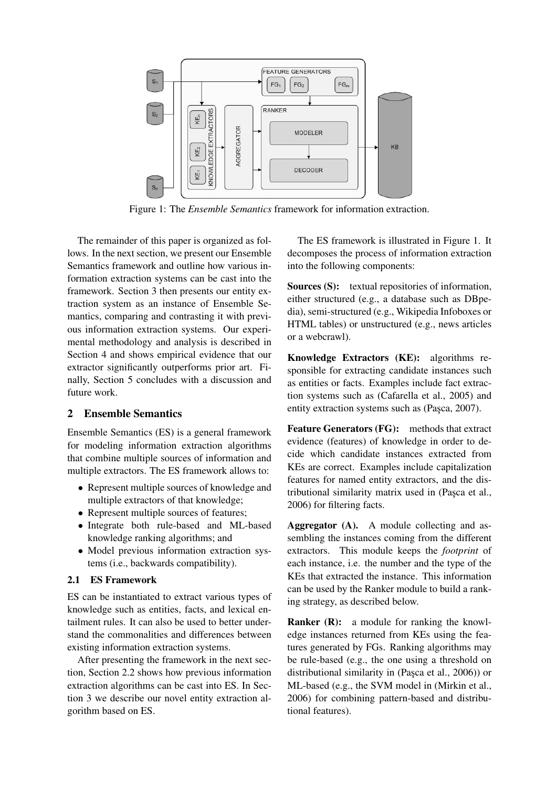

Figure 1: The *Ensemble Semantics* framework for information extraction.

The remainder of this paper is organized as follows. In the next section, we present our Ensemble Semantics framework and outline how various information extraction systems can be cast into the framework. Section 3 then presents our entity extraction system as an instance of Ensemble Semantics, comparing and contrasting it with previous information extraction systems. Our experimental methodology and analysis is described in Section 4 and shows empirical evidence that our extractor significantly outperforms prior art. Finally, Section 5 concludes with a discussion and future work.

# 2 Ensemble Semantics

Ensemble Semantics (ES) is a general framework for modeling information extraction algorithms that combine multiple sources of information and multiple extractors. The ES framework allows to:

- Represent multiple sources of knowledge and multiple extractors of that knowledge;
- Represent multiple sources of features;
- Integrate both rule-based and ML-based knowledge ranking algorithms; and
- Model previous information extraction systems (i.e., backwards compatibility).

# 2.1 ES Framework

ES can be instantiated to extract various types of knowledge such as entities, facts, and lexical entailment rules. It can also be used to better understand the commonalities and differences between existing information extraction systems.

After presenting the framework in the next section, Section 2.2 shows how previous information extraction algorithms can be cast into ES. In Section 3 we describe our novel entity extraction algorithm based on ES.

The ES framework is illustrated in Figure 1. It decomposes the process of information extraction into the following components:

Sources (S): textual repositories of information, either structured (e.g., a database such as DBpedia), semi-structured (e.g., Wikipedia Infoboxes or HTML tables) or unstructured (e.g., news articles or a webcrawl).

Knowledge Extractors (KE): algorithms responsible for extracting candidate instances such as entities or facts. Examples include fact extraction systems such as (Cafarella et al., 2005) and entity extraction systems such as (Pasca, 2007).

Feature Generators (FG): methods that extract evidence (features) of knowledge in order to decide which candidate instances extracted from KEs are correct. Examples include capitalization features for named entity extractors, and the distributional similarity matrix used in (Pasca et al., 2006) for filtering facts.

Aggregator (A). A module collecting and assembling the instances coming from the different extractors. This module keeps the *footprint* of each instance, i.e. the number and the type of the KEs that extracted the instance. This information can be used by the Ranker module to build a ranking strategy, as described below.

**Ranker (R):** a module for ranking the knowledge instances returned from KEs using the features generated by FGs. Ranking algorithms may be rule-based (e.g., the one using a threshold on distributional similarity in (Pasca et al.,  $2006$ )) or ML-based (e.g., the SVM model in (Mirkin et al., 2006) for combining pattern-based and distributional features).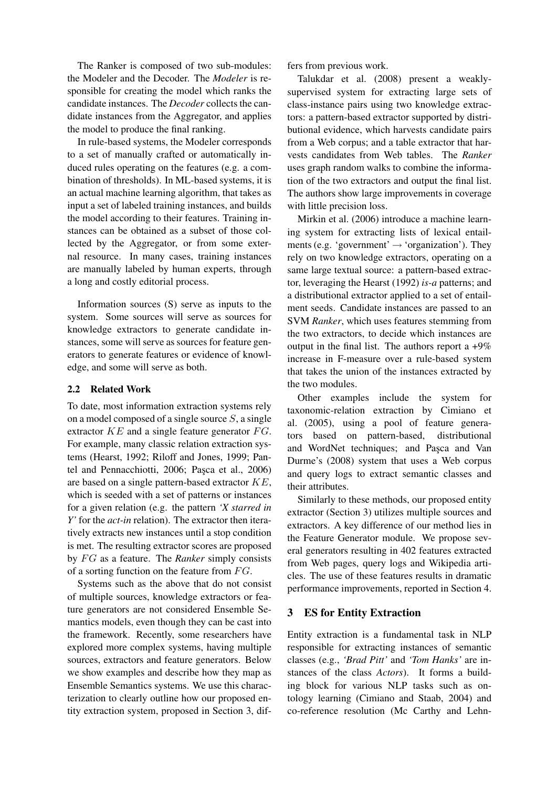The Ranker is composed of two sub-modules: the Modeler and the Decoder. The *Modeler* is responsible for creating the model which ranks the candidate instances. The *Decoder* collects the candidate instances from the Aggregator, and applies the model to produce the final ranking.

In rule-based systems, the Modeler corresponds to a set of manually crafted or automatically induced rules operating on the features (e.g. a combination of thresholds). In ML-based systems, it is an actual machine learning algorithm, that takes as input a set of labeled training instances, and builds the model according to their features. Training instances can be obtained as a subset of those collected by the Aggregator, or from some external resource. In many cases, training instances are manually labeled by human experts, through a long and costly editorial process.

Information sources (S) serve as inputs to the system. Some sources will serve as sources for knowledge extractors to generate candidate instances, some will serve as sources for feature generators to generate features or evidence of knowledge, and some will serve as both.

#### 2.2 Related Work

To date, most information extraction systems rely on a model composed of a single source  $S$ , a single extractor  $KE$  and a single feature generator  $FG$ . For example, many classic relation extraction systems (Hearst, 1992; Riloff and Jones, 1999; Pantel and Pennacchiotti, 2006; Paşca et al., 2006) are based on a single pattern-based extractor KE, which is seeded with a set of patterns or instances for a given relation (e.g. the pattern *'X starred in Y'* for the *act-in* relation). The extractor then iteratively extracts new instances until a stop condition is met. The resulting extractor scores are proposed by FG as a feature. The *Ranker* simply consists of a sorting function on the feature from  $FG$ .

Systems such as the above that do not consist of multiple sources, knowledge extractors or feature generators are not considered Ensemble Semantics models, even though they can be cast into the framework. Recently, some researchers have explored more complex systems, having multiple sources, extractors and feature generators. Below we show examples and describe how they map as Ensemble Semantics systems. We use this characterization to clearly outline how our proposed entity extraction system, proposed in Section 3, differs from previous work.

Talukdar et al. (2008) present a weaklysupervised system for extracting large sets of class-instance pairs using two knowledge extractors: a pattern-based extractor supported by distributional evidence, which harvests candidate pairs from a Web corpus; and a table extractor that harvests candidates from Web tables. The *Ranker* uses graph random walks to combine the information of the two extractors and output the final list. The authors show large improvements in coverage with little precision loss.

Mirkin et al. (2006) introduce a machine learning system for extracting lists of lexical entailments (e.g. 'government'  $\rightarrow$  'organization'). They rely on two knowledge extractors, operating on a same large textual source: a pattern-based extractor, leveraging the Hearst (1992) *is-a* patterns; and a distributional extractor applied to a set of entailment seeds. Candidate instances are passed to an SVM *Ranker*, which uses features stemming from the two extractors, to decide which instances are output in the final list. The authors report a  $+9\%$ increase in F-measure over a rule-based system that takes the union of the instances extracted by the two modules.

Other examples include the system for taxonomic-relation extraction by Cimiano et al. (2005), using a pool of feature generators based on pattern-based, distributional and WordNet techniques; and Pasca and Van Durme's (2008) system that uses a Web corpus and query logs to extract semantic classes and their attributes.

Similarly to these methods, our proposed entity extractor (Section 3) utilizes multiple sources and extractors. A key difference of our method lies in the Feature Generator module. We propose several generators resulting in 402 features extracted from Web pages, query logs and Wikipedia articles. The use of these features results in dramatic performance improvements, reported in Section 4.

### 3 ES for Entity Extraction

Entity extraction is a fundamental task in NLP responsible for extracting instances of semantic classes (e.g., *'Brad Pitt'* and *'Tom Hanks'* are instances of the class *Actors*). It forms a building block for various NLP tasks such as ontology learning (Cimiano and Staab, 2004) and co-reference resolution (Mc Carthy and Lehn-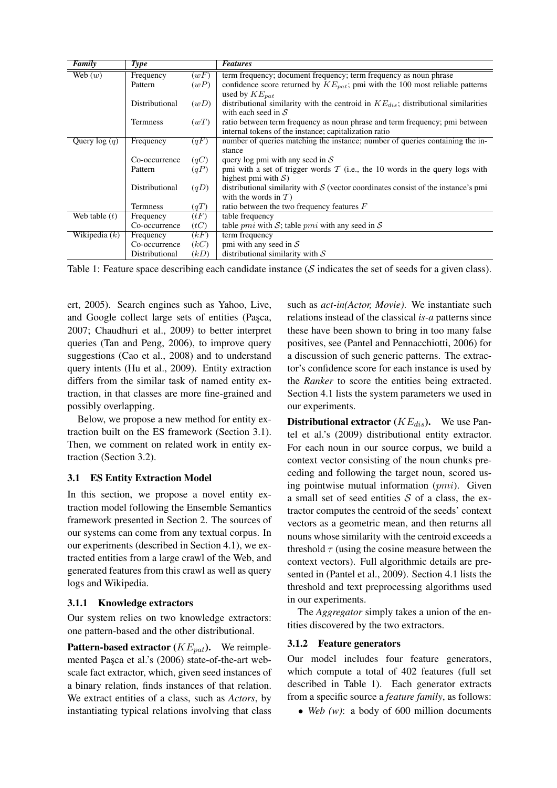| <b>Family</b>   | <b>Type</b>     |                   | <b>Features</b>                                                                         |
|-----------------|-----------------|-------------------|-----------------------------------------------------------------------------------------|
| Web $(w)$       | Frequency       | (wF)              | term frequency; document frequency; term frequency as noun phrase                       |
|                 | Pattern         | (wP)              | confidence score returned by $KE_{pat}$ ; pmi with the 100 most reliable patterns       |
|                 |                 |                   | used by $KE_{nat}$                                                                      |
|                 | Distributional  | (wD)              | distributional similarity with the centroid in $KE_{dis}$ ; distributional similarities |
|                 |                 |                   | with each seed in $S$                                                                   |
|                 | <b>Termness</b> | (wT)              | ratio between term frequency as noun phrase and term frequency; pmi between             |
|                 |                 |                   | internal tokens of the instance; capitalization ratio                                   |
| Query $log(q)$  | Frequency       | $\overline{(qF)}$ | number of queries matching the instance; number of queries containing the in-           |
|                 |                 |                   | stance                                                                                  |
|                 | Co-occurrence   | (qC)              | query log pmi with any seed in $S$                                                      |
|                 | Pattern         | (qP)              | pmi with a set of trigger words $\mathcal T$ (i.e., the 10 words in the query logs with |
|                 |                 |                   | highest pmi with $S$ )                                                                  |
|                 | Distributional  | (qD)              | distributional similarity with $S$ (vector coordinates consist of the instance's pmi    |
|                 |                 |                   | with the words in $T$ )                                                                 |
|                 | <b>Termness</b> | (qT)              | ratio between the two frequency features $F$                                            |
| Web table $(t)$ | Frequency       | (tF)              | table frequency                                                                         |
|                 | Co-occurrence   | (tC)              | table <i>pmi</i> with S; table <i>pmi</i> with any seed in S                            |
| Wikipedia $(k)$ | Frequency       | (kF)              | term frequency                                                                          |
|                 | Co-occurrence   | (kC)              | pmi with any seed in $S$                                                                |
|                 | Distributional  | (kD)              | distributional similarity with $S$                                                      |

Table 1: Feature space describing each candidate instance  $(S$  indicates the set of seeds for a given class).

ert, 2005). Search engines such as Yahoo, Live, and Google collect large sets of entities (Pasca, 2007; Chaudhuri et al., 2009) to better interpret queries (Tan and Peng, 2006), to improve query suggestions (Cao et al., 2008) and to understand query intents (Hu et al., 2009). Entity extraction differs from the similar task of named entity extraction, in that classes are more fine-grained and possibly overlapping.

Below, we propose a new method for entity extraction built on the ES framework (Section 3.1). Then, we comment on related work in entity extraction (Section 3.2).

# 3.1 ES Entity Extraction Model

In this section, we propose a novel entity extraction model following the Ensemble Semantics framework presented in Section 2. The sources of our systems can come from any textual corpus. In our experiments (described in Section 4.1), we extracted entities from a large crawl of the Web, and generated features from this crawl as well as query logs and Wikipedia.

### 3.1.1 Knowledge extractors

Our system relies on two knowledge extractors: one pattern-based and the other distributional.

**Pattern-based extractor** ( $KE_{pat}$ ). We reimplemented Paşca et al.'s (2006) state-of-the-art webscale fact extractor, which, given seed instances of a binary relation, finds instances of that relation. We extract entities of a class, such as *Actors*, by instantiating typical relations involving that class such as *act-in(Actor, Movie)*. We instantiate such relations instead of the classical *is-a* patterns since these have been shown to bring in too many false positives, see (Pantel and Pennacchiotti, 2006) for a discussion of such generic patterns. The extractor's confidence score for each instance is used by the *Ranker* to score the entities being extracted. Section 4.1 lists the system parameters we used in our experiments.

**Distributional extractor** ( $KE_{dis}$ ). We use Pantel et al.'s (2009) distributional entity extractor. For each noun in our source corpus, we build a context vector consisting of the noun chunks preceding and following the target noun, scored using pointwise mutual information  $(pmi)$ . Given a small set of seed entities  $S$  of a class, the extractor computes the centroid of the seeds' context vectors as a geometric mean, and then returns all nouns whose similarity with the centroid exceeds a threshold  $\tau$  (using the cosine measure between the context vectors). Full algorithmic details are presented in (Pantel et al., 2009). Section 4.1 lists the threshold and text preprocessing algorithms used in our experiments.

The *Aggregator* simply takes a union of the entities discovered by the two extractors.

# 3.1.2 Feature generators

Our model includes four feature generators, which compute a total of 402 features (full set described in Table 1). Each generator extracts from a specific source a *feature family*, as follows:

• *Web (w)*: a body of 600 million documents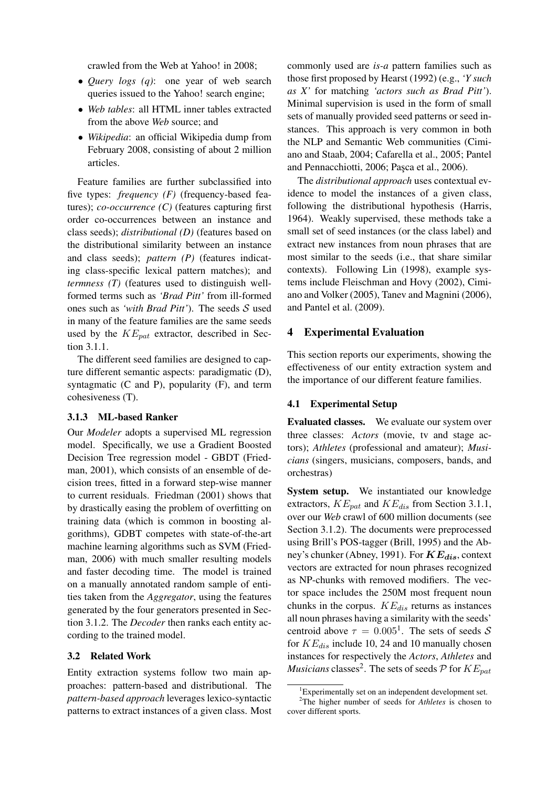crawled from the Web at Yahoo! in 2008;

- *Query logs (q)*: one year of web search queries issued to the Yahoo! search engine;
- *Web tables*: all HTML inner tables extracted from the above *Web* source; and
- *Wikipedia*: an official Wikipedia dump from February 2008, consisting of about 2 million articles.

Feature families are further subclassified into five types: *frequency (F)* (frequency-based features); *co-occurrence (C)* (features capturing first order co-occurrences between an instance and class seeds); *distributional (D)* (features based on the distributional similarity between an instance and class seeds); *pattern (P)* (features indicating class-specific lexical pattern matches); and *termness (T)* (features used to distinguish wellformed terms such as *'Brad Pitt'* from ill-formed ones such as *'with Brad Pitt'*). The seeds S used in many of the feature families are the same seeds used by the  $KE_{pat}$  extractor, described in Section 3.1.1.

The different seed families are designed to capture different semantic aspects: paradigmatic (D), syntagmatic (C and P), popularity (F), and term cohesiveness (T).

### 3.1.3 ML-based Ranker

Our *Modeler* adopts a supervised ML regression model. Specifically, we use a Gradient Boosted Decision Tree regression model - GBDT (Friedman, 2001), which consists of an ensemble of decision trees, fitted in a forward step-wise manner to current residuals. Friedman (2001) shows that by drastically easing the problem of overfitting on training data (which is common in boosting algorithms), GDBT competes with state-of-the-art machine learning algorithms such as SVM (Friedman, 2006) with much smaller resulting models and faster decoding time. The model is trained on a manually annotated random sample of entities taken from the *Aggregator*, using the features generated by the four generators presented in Section 3.1.2. The *Decoder* then ranks each entity according to the trained model.

### 3.2 Related Work

Entity extraction systems follow two main approaches: pattern-based and distributional. The *pattern-based approach* leverages lexico-syntactic patterns to extract instances of a given class. Most commonly used are *is-a* pattern families such as those first proposed by Hearst (1992) (e.g., *'Y such as X'* for matching *'actors such as Brad Pitt'*). Minimal supervision is used in the form of small sets of manually provided seed patterns or seed instances. This approach is very common in both the NLP and Semantic Web communities (Cimiano and Staab, 2004; Cafarella et al., 2005; Pantel and Pennacchiotti, 2006; Paşca et al., 2006).

The *distributional approach* uses contextual evidence to model the instances of a given class, following the distributional hypothesis (Harris, 1964). Weakly supervised, these methods take a small set of seed instances (or the class label) and extract new instances from noun phrases that are most similar to the seeds (i.e., that share similar contexts). Following Lin (1998), example systems include Fleischman and Hovy (2002), Cimiano and Volker (2005), Tanev and Magnini (2006), and Pantel et al. (2009).

# 4 Experimental Evaluation

This section reports our experiments, showing the effectiveness of our entity extraction system and the importance of our different feature families.

#### 4.1 Experimental Setup

Evaluated classes. We evaluate our system over three classes: *Actors* (movie, tv and stage actors); *Athletes* (professional and amateur); *Musicians* (singers, musicians, composers, bands, and orchestras)

System setup. We instantiated our knowledge extractors,  $KE_{pat}$  and  $KE_{dis}$  from Section 3.1.1, over our *Web* crawl of 600 million documents (see Section 3.1.2). The documents were preprocessed using Brill's POS-tagger (Brill, 1995) and the Abney's chunker (Abney, 1991). For  $KE_{dis}$ , context vectors are extracted for noun phrases recognized as NP-chunks with removed modifiers. The vector space includes the 250M most frequent noun chunks in the corpus.  $KE_{dis}$  returns as instances all noun phrases having a similarity with the seeds' centroid above  $\tau = 0.005^1$ . The sets of seeds S for  $KE_{dis}$  include 10, 24 and 10 manually chosen instances for respectively the *Actors*, *Athletes* and *Musicians* classes<sup>2</sup>. The sets of seeds  $\mathcal P$  for  $KE_{pat}$ 

 ${}^{1}$ Experimentally set on an independent development set.

<sup>2</sup>The higher number of seeds for *Athletes* is chosen to cover different sports.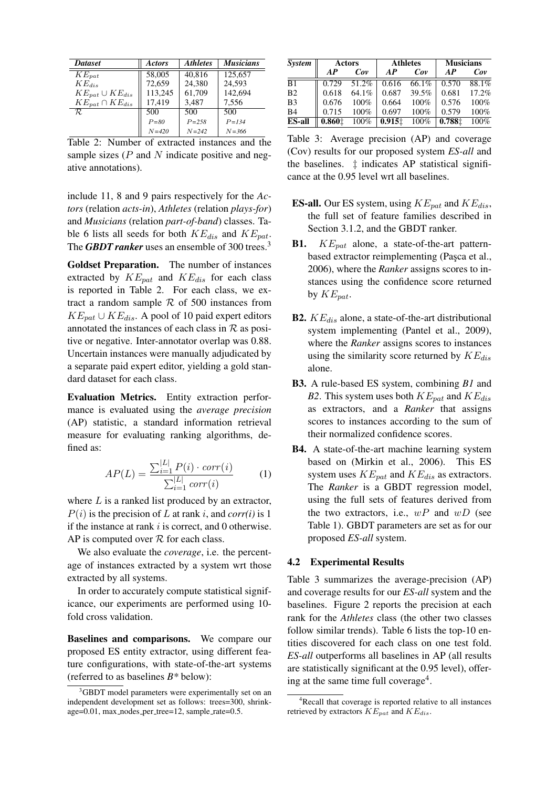| <b>Dataset</b>           | <b>Actors</b> | <b>Athletes</b> | <b>Musicians</b> |
|--------------------------|---------------|-----------------|------------------|
| $KE_{pat}$               | 58,005        | 40.816          | 125,657          |
| $KE_{dis}$               | 72,659        | 24.380          | 24.593           |
| $KE_{pat} \cup KE_{dis}$ | 113,245       | 61,709          | 142,694          |
| $KE_{pat} \cap KE_{dis}$ | 17,419        | 3,487           | 7,556            |
| R.                       | 500           | 500             | 500              |
|                          | $P = 80$      | $P = 2.58$      | $P = 1.34$       |
|                          | $N = 420$     | $N = 242$       | $N = 366$        |

Table 2: Number of extracted instances and the sample sizes  $(P \text{ and } N \text{ indicate positive and neg-}$ ative annotations).

include 11, 8 and 9 pairs respectively for the *Actors* (relation *acts-in*), *Athletes* (relation *plays-for*) and *Musicians* (relation *part-of-band*) classes. Table 6 lists all seeds for both  $KE_{dis}$  and  $KE_{pat}$ . The *GBDT ranker* uses an ensemble of 300 trees.<sup>3</sup>

Goldset Preparation. The number of instances extracted by  $KE_{pat}$  and  $KE_{dis}$  for each class is reported in Table 2. For each class, we extract a random sample  $R$  of 500 instances from  $KE_{pat} \cup KE_{dis}$ . A pool of 10 paid expert editors annotated the instances of each class in  $R$  as positive or negative. Inter-annotator overlap was 0.88. Uncertain instances were manually adjudicated by a separate paid expert editor, yielding a gold standard dataset for each class.

Evaluation Metrics. Entity extraction performance is evaluated using the *average precision* (AP) statistic, a standard information retrieval measure for evaluating ranking algorithms, defined as:

$$
AP(L) = \frac{\sum_{i=1}^{|L|} P(i) \cdot corr(i)}{\sum_{i=1}^{|L|} corr(i)} \tag{1}
$$

where  $L$  is a ranked list produced by an extractor,  $P(i)$  is the precision of L at rank i, and *corr(i)* is 1 if the instance at rank  $i$  is correct, and 0 otherwise. AP is computed over  $R$  for each class.

We also evaluate the *coverage*, i.e. the percentage of instances extracted by a system wrt those extracted by all systems.

In order to accurately compute statistical significance, our experiments are performed using 10 fold cross validation.

Baselines and comparisons. We compare our proposed ES entity extractor, using different feature configurations, with state-of-the-art systems (referred to as baselines *B\** below):

| System         | Actors |         |        | <b>Athletes</b> | <b>Musicians</b> |         |
|----------------|--------|---------|--------|-----------------|------------------|---------|
|                | AP     | Cov     | AP     | Cov             | AP               | Cov     |
| B1             | 0.729  | 51.2%   | 0.616  | 66.1%           | 0.570            | 88.1%   |
| B <sub>2</sub> | 0.618  | 64.1%   | 0.687  | 39.5%           | 0.681            | 17.2%   |
| B <sub>3</sub> | 0.676  | $100\%$ | 0.664  | 100%            | 0.576            | $100\%$ |
| B <sub>4</sub> | 0.715  | $100\%$ | 0.697  | 100%            | 0.579            | 100%    |
| <b>ES-all</b>  | 0.8601 | 100%    | 0.9151 | 100%            | 0.7881           | 100%    |

Table 3: Average precision (AP) and coverage (Cov) results for our proposed system *ES-all* and the baselines. ‡ indicates AP statistical significance at the 0.95 level wrt all baselines.

- **ES-all.** Our ES system, using  $KE_{pat}$  and  $KE_{dis}$ , the full set of feature families described in Section 3.1.2, and the GBDT ranker.
- **B1.**  $KE_{pat}$  alone, a state-of-the-art patternbased extractor reimplementing (Paşca et al., 2006), where the *Ranker* assigns scores to instances using the confidence score returned by  $KE_{pat}$ .
- **B2.**  $KE_{dis}$  alone, a state-of-the-art distributional system implementing (Pantel et al., 2009), where the *Ranker* assigns scores to instances using the similarity score returned by  $KE_{dis}$ alone.
- B3. A rule-based ES system, combining *B1* and *B2*. This system uses both  $KE_{pat}$  and  $KE_{dis}$ as extractors, and a *Ranker* that assigns scores to instances according to the sum of their normalized confidence scores.
- B4. A state-of-the-art machine learning system based on (Mirkin et al., 2006). This ES system uses  $KE_{pat}$  and  $KE_{dis}$  as extractors. The *Ranker* is a GBDT regression model, using the full sets of features derived from the two extractors, i.e.,  $wP$  and  $wD$  (see Table 1). GBDT parameters are set as for our proposed *ES-all* system.

### 4.2 Experimental Results

Table 3 summarizes the average-precision (AP) and coverage results for our *ES-all* system and the baselines. Figure 2 reports the precision at each rank for the *Athletes* class (the other two classes follow similar trends). Table 6 lists the top-10 entities discovered for each class on one test fold. *ES-all* outperforms all baselines in AP (all results are statistically significant at the 0.95 level), offering at the same time full coverage<sup>4</sup>.

<sup>&</sup>lt;sup>3</sup>GBDT model parameters were experimentally set on an independent development set as follows: trees=300, shrinkage=0.01, max\_nodes\_per\_tree=12, sample\_rate=0.5.

<sup>&</sup>lt;sup>4</sup>Recall that coverage is reported relative to all instances retrieved by extractors  $KE_{pat}$  and  $KE_{dis}$ .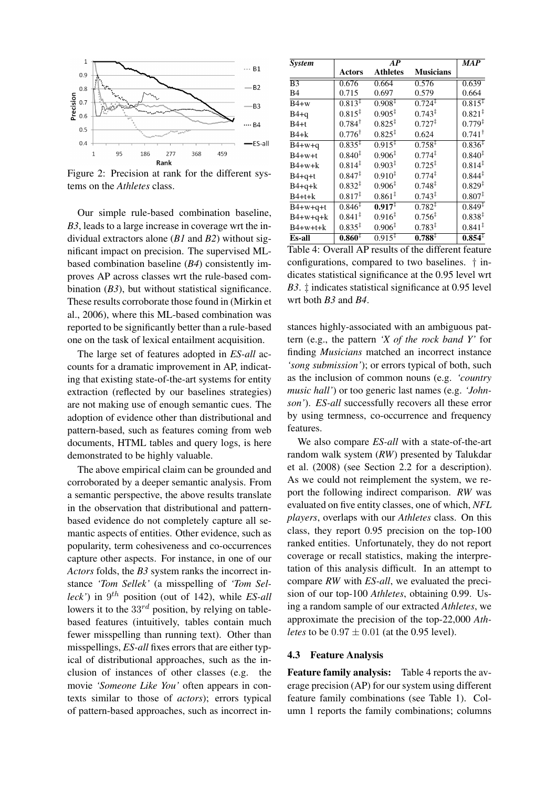

Figure 2: Precision at rank for the different systems on the *Athletes* class.

Our simple rule-based combination baseline, *B3*, leads to a large increase in coverage wrt the individual extractors alone (*B1* and *B2*) without significant impact on precision. The supervised MLbased combination baseline (*B4*) consistently improves AP across classes wrt the rule-based combination (*B3*), but without statistical significance. These results corroborate those found in (Mirkin et al., 2006), where this ML-based combination was reported to be significantly better than a rule-based one on the task of lexical entailment acquisition.

The large set of features adopted in *ES-all* accounts for a dramatic improvement in AP, indicating that existing state-of-the-art systems for entity extraction (reflected by our baselines strategies) are not making use of enough semantic cues. The adoption of evidence other than distributional and pattern-based, such as features coming from web documents, HTML tables and query logs, is here demonstrated to be highly valuable.

The above empirical claim can be grounded and corroborated by a deeper semantic analysis. From a semantic perspective, the above results translate in the observation that distributional and patternbased evidence do not completely capture all semantic aspects of entities. Other evidence, such as popularity, term cohesiveness and co-occurrences capture other aspects. For instance, in one of our *Actors* folds, the *B3* system ranks the incorrect instance *'Tom Sellek'* (a misspelling of *'Tom Selleck'*) in 9 th position (out of 142), while *ES-all* lowers it to the  $33^{rd}$  position, by relying on tablebased features (intuitively, tables contain much fewer misspelling than running text). Other than misspellings, *ES-all* fixes errors that are either typical of distributional approaches, such as the inclusion of instances of other classes (e.g. the movie *'Someone Like You'* often appears in contexts similar to those of *actors*); errors typical of pattern-based approaches, such as incorrect in-

| <b>System</b>  |                    | $\overline{MAP}$   |                    |                               |
|----------------|--------------------|--------------------|--------------------|-------------------------------|
|                | <b>Actors</b>      | <b>Athletes</b>    | <b>Musicians</b>   |                               |
| B <sub>3</sub> | 0.676              | 0.664              | 0.576              | 0.639                         |
| B4             | 0.715              | 0.697              | 0.579              | 0.664                         |
| $B4+w$         | $0.813^{\ddagger}$ | $0.908^{\ddagger}$ | $0.724^{\ddagger}$ | $0.815^{\ddagger}$            |
| $B4+q$         | $0.815^{\ddagger}$ | $0.905^{\ddagger}$ | $0.743^{\ddagger}$ | $0.821^{\ddagger}$            |
| B4+t           | $0.784^{\dagger}$  | $0.825^{\ddagger}$ | $0.727^{\ddagger}$ | $0.779^{\ddagger}$            |
| $B4+k$         | $0.776^{\dagger}$  | $0.825^{\ddagger}$ | 0.624              | $0.741^{\dagger}$             |
| $B4+w+q$       | $0.835^{1}$        | $0.915^{\ddagger}$ | $0.758^{\ddagger}$ | $0.836^{\ddagger}$            |
| $B4+w+t$       | $0.840*$           | $0.906^{\ddagger}$ | $0.774^{\ddagger}$ | $0.840^{\ddagger}$            |
| $B4+w+k$       | $0.814^{\ddagger}$ | $0.903^{\ddagger}$ | $0.725^{\ddagger}$ | $0.814^{\ddagger}$            |
| $B4+q+t$       | $0.847^{\ddagger}$ | $0.910^{\ddagger}$ | $0.774^{\ddagger}$ | $0.844^{\ddagger}$            |
| $B4+q+k$       | $0.832^{\ddagger}$ | $0.906^{\ddagger}$ | $0.748^{\ddagger}$ | $0.829^{\ddagger}$            |
| $B4+t+k$       | $0.817^{\ddagger}$ | $0.861^{\ddagger}$ | $0.743^{\ddagger}$ | $0.807^{\ddagger}$            |
| $B4+w+q+t$     | $0.846^{1}$        | $0.917^{\ddagger}$ | $0.782^{1}$        | $0.\overline{849^{\ddagger}}$ |
| $B4+w+q+k$     | $0.841^{\ddagger}$ | $0.916^{\ddagger}$ | $0.756^{\ddagger}$ | $0.838^{\ddagger}$            |
| $B4+w+t+k$     | $0.835^{\ddagger}$ | $0.906^{\ddagger}$ | $0.783^{\ddagger}$ | $0.841^{\ddagger}$            |
| Es-all         | $0.860*$           | $0.915^{\ddagger}$ | $0.788^{\ddagger}$ | $0.854^{\ddagger}$            |

Table 4: Overall AP results of the different feature configurations, compared to two baselines. † indicates statistical significance at the 0.95 level wrt *B3*. ‡ indicates statistical significance at 0.95 level wrt both *B3* and *B4*.

stances highly-associated with an ambiguous pattern (e.g., the pattern *'X of the rock band Y'* for finding *Musicians* matched an incorrect instance *'song submission'*); or errors typical of both, such as the inclusion of common nouns (e.g. *'country music hall'*) or too generic last names (e.g. *'Johnson'*). *ES-all* successfully recovers all these error by using termness, co-occurrence and frequency features.

We also compare *ES-all* with a state-of-the-art random walk system (*RW*) presented by Talukdar et al. (2008) (see Section 2.2 for a description). As we could not reimplement the system, we report the following indirect comparison. *RW* was evaluated on five entity classes, one of which, *NFL players*, overlaps with our *Athletes* class. On this class, they report 0.95 precision on the top-100 ranked entities. Unfortunately, they do not report coverage or recall statistics, making the interpretation of this analysis difficult. In an attempt to compare *RW* with *ES-all*, we evaluated the precision of our top-100 *Athletes*, obtaining 0.99. Using a random sample of our extracted *Athletes*, we approximate the precision of the top-22,000 *Athletes* to be  $0.97 \pm 0.01$  (at the 0.95 level).

#### 4.3 Feature Analysis

Feature family analysis: Table 4 reports the average precision (AP) for our system using different feature family combinations (see Table 1). Column 1 reports the family combinations; columns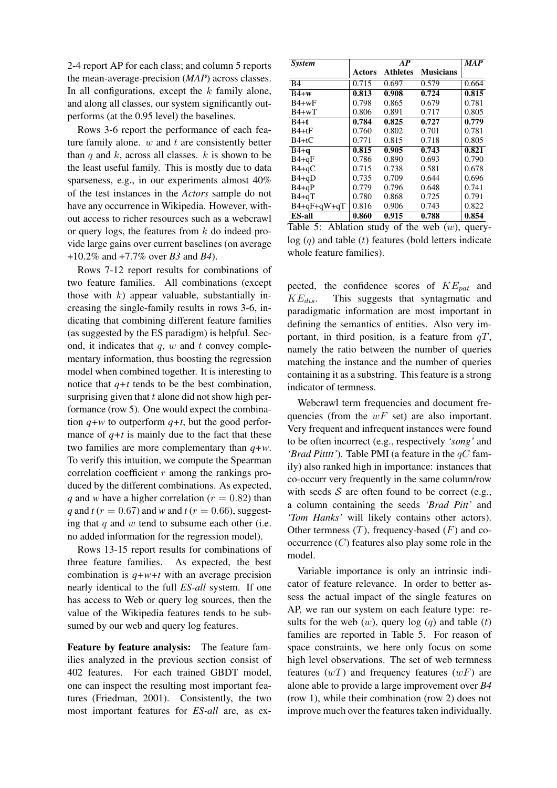2-4 report AP for each class; and column 5 reports the mean-average-precision (*MAP*) across classes. In all configurations, except the  $k$  family alone, and along all classes, our system significantly outperforms (at the 0.95 level) the baselines.

Rows 3-6 report the performance of each feature family alone.  $w$  and  $t$  are consistently better than q and  $k$ , across all classes.  $k$  is shown to be the least useful family. This is mostly due to data sparseness, e.g., in our experiments almost 40% of the test instances in the *Actors* sample do not have any occurrence in Wikipedia. However, without access to richer resources such as a webcrawl or query logs, the features from  $k$  do indeed provide large gains over current baselines (on average +10.2% and +7.7% over *B3* and *B4*).

Rows 7-12 report results for combinations of two feature families. All combinations (except those with  $k$ ) appear valuable, substantially increasing the single-family results in rows 3-6, indicating that combining different feature families (as suggested by the ES paradigm) is helpful. Second, it indicates that  $q$ ,  $w$  and  $t$  convey complementary information, thus boosting the regression model when combined together. It is interesting to notice that  $q+t$  tends to be the best combination, surprising given that  $t$  alone did not show high performance (row 5). One would expect the combination  $q+w$  to outperform  $q+t$ , but the good performance of  $q+t$  is mainly due to the fact that these two families are more complementary than *q+w*. To verify this intuition, we compute the Spearman correlation coefficient  $r$  among the rankings produced by the different combinations. As expected, *q* and *w* have a higher correlation ( $r = 0.82$ ) than *q* and *t* ( $r = 0.67$ ) and *w* and *t* ( $r = 0.66$ ), suggesting that  $q$  and  $w$  tend to subsume each other (i.e. no added information for the regression model).

Rows 13-15 report results for combinations of three feature families. As expected, the best combination is *q+w+t* with an average precision nearly identical to the full *ES-all* system. If one has access to Web or query log sources, then the value of the Wikipedia features tends to be subsumed by our web and query log features.

Feature by feature analysis: The feature families analyzed in the previous section consist of 402 features. For each trained GBDT model, one can inspect the resulting most important features (Friedman, 2001). Consistently, the two most important features for *ES-all* are, as ex-

| <b>System</b>     |        | $MA\overline{P}$ |                  |       |
|-------------------|--------|------------------|------------------|-------|
|                   | Actors | <b>Athletes</b>  | <b>Musicians</b> |       |
| B <sub>4</sub>    | 0.715  | 0.697            | 0.579            | 0.664 |
| $\overline{B}4+w$ | 0.813  | 0.908            | 0.724            | 0.815 |
| $B4+wF$           | 0.798  | 0.865            | 0.679            | 0.781 |
| $B4+wT$           | 0.806  | 0.891            | 0.717            | 0.805 |
| $B4+t$            | 0.784  | 0.825            | 0.727            | 0.779 |
| $B4+tF$           | 0.760  | 0.802            | 0.701            | 0.781 |
| $B4+tC$           | 0.771  | 0.815            | 0.718            | 0.805 |
| $B4+q$            | 0.815  | 0.905            | 0.743            | 0.821 |
| $B4 + qF$         | 0.786  | 0.890            | 0.693            | 0.790 |
| $B4+qC$           | 0.715  | 0.738            | 0.581            | 0.678 |
| $B4 + qD$         | 0.735  | 0.709            | 0.644            | 0.696 |
| $B4+qP$           | 0.779  | 0.796            | 0.648            | 0.741 |
| $B4 + qT$         | 0.780  | 0.868            | 0.725            | 0.791 |
| $B4+qF+qW+qT$     | 0.816  | 0.906            | 0.743            | 0.822 |
| <b>ES-all</b>     | 0.860  | 0.915            | 0.788            | 0.854 |

Table 5: Ablation study of the web  $(w)$ , query $log(q)$  and table (t) features (bold letters indicate whole feature families).

pected, the confidence scores of  $KE_{pat}$  and  $KE<sub>dis</sub>$ . This suggests that syntagmatic and paradigmatic information are most important in defining the semantics of entities. Also very important, in third position, is a feature from  $qT$ , namely the ratio between the number of queries matching the instance and the number of queries containing it as a substring. This feature is a strong indicator of termness.

Webcrawl term frequencies and document frequencies (from the  $wF$  set) are also important. Very frequent and infrequent instances were found to be often incorrect (e.g., respectively *'song'* and *'Brad Pitttt'*). Table PMI (a feature in the  $qC$  family) also ranked high in importance: instances that co-occurr very frequently in the same column/row with seeds  $S$  are often found to be correct (e.g., a column containing the seeds *'Brad Pitt'* and *'Tom Hanks'* will likely contains other actors). Other termness  $(T)$ , frequency-based  $(F)$  and cooccurrence  $(C)$  features also play some role in the model.

Variable importance is only an intrinsic indicator of feature relevance. In order to better assess the actual impact of the single features on AP, we ran our system on each feature type: results for the web  $(w)$ , query  $log(q)$  and table  $(t)$ families are reported in Table 5. For reason of space constraints, we here only focus on some high level observations. The set of web termness features  $(wT)$  and frequency features  $(wF)$  are alone able to provide a large improvement over *B4* (row 1), while their combination (row 2) does not improve much over the features taken individually.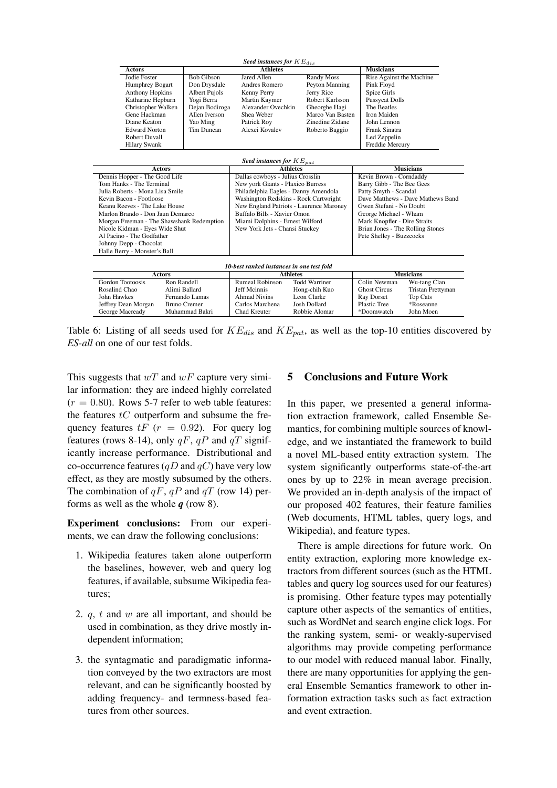|                                  |                                           | Seed instances for $KE_{dis}$             |                      |                                  |                                   |  |  |
|----------------------------------|-------------------------------------------|-------------------------------------------|----------------------|----------------------------------|-----------------------------------|--|--|
| <b>Actors</b>                    |                                           | <b>Athletes</b>                           |                      |                                  | <b>Musicians</b>                  |  |  |
| Jodie Foster                     | <b>Bob Gibson</b>                         | Jared Allen                               | <b>Randy Moss</b>    | Rise Against the Machine         |                                   |  |  |
| Humphrey Bogart                  | Don Drysdale                              | Andres Romero                             | Peyton Manning       | Pink Floyd                       |                                   |  |  |
| <b>Anthony Hopkins</b>           | <b>Albert Pujols</b>                      | Kenny Perry                               | Jerry Rice           | Spice Girls                      |                                   |  |  |
| Katharine Hepburn                | Yogi Berra                                | Martin Kaymer                             | Robert Karlsson      | <b>Pussycat Dolls</b>            |                                   |  |  |
| Christopher Walken               | Dejan Bodiroga                            | Alexander Ovechkin                        | Gheorghe Hagi        | The Beatles                      |                                   |  |  |
| Gene Hackman                     | Allen Iverson                             | Shea Weber                                | Marco Van Basten     | Iron Maiden                      |                                   |  |  |
| Diane Keaton                     | Yao Ming                                  | Patrick Roy                               | Zinedine Zidane      | John Lennon                      |                                   |  |  |
| <b>Edward Norton</b>             | Tim Duncan                                | Alexei Kovalev                            | Roberto Baggio       | <b>Frank Sinatra</b>             |                                   |  |  |
| Robert Duvall                    |                                           |                                           |                      | Led Zeppelin                     |                                   |  |  |
| <b>Hilary Swank</b>              |                                           |                                           |                      | Freddie Mercury                  |                                   |  |  |
| Seed instances for $KE_{pat}$    |                                           |                                           |                      |                                  |                                   |  |  |
| <b>Actors</b>                    |                                           | <b>Athletes</b>                           |                      | <b>Musicians</b>                 |                                   |  |  |
| Dennis Hopper - The Good Life    |                                           | Dallas cowboys - Julius Crosslin          |                      | Kevin Brown - Corndaddy          |                                   |  |  |
| Tom Hanks - The Terminal         |                                           | New york Giants - Plaxico Burress         |                      | Barry Gibb - The Bee Gees        |                                   |  |  |
| Julia Roberts - Mona Lisa Smile  |                                           | Philadelphia Eagles - Danny Amendola      |                      |                                  | Patty Smyth - Scandal             |  |  |
| Kevin Bacon - Footloose          |                                           | Washington Redskins - Rock Cartwright     |                      |                                  | Dave Matthews - Dave Mathews Band |  |  |
| Keanu Reeves - The Lake House    |                                           | New England Patriots - Laurence Maroney   |                      |                                  | Gwen Stefani - No Doubt           |  |  |
| Marlon Brando - Don Jaun Demarco |                                           | Buffalo Bills - Xavier Omon               |                      |                                  | George Michael - Wham             |  |  |
|                                  | Morgan Freeman - The Shawshank Redemption | Miami Dolphins - Ernest Wilford           |                      | Mark Knopfler - Dire Straits     |                                   |  |  |
| Nicole Kidman - Eyes Wide Shut   |                                           | New York Jets - Chansi Stuckey            |                      | Brian Jones - The Rolling Stones |                                   |  |  |
| Al Pacino - The Godfather        |                                           |                                           |                      | Pete Shelley - Buzzcocks         |                                   |  |  |
| Johnny Depp - Chocolat           |                                           |                                           |                      |                                  |                                   |  |  |
| Halle Berry - Monster's Ball     |                                           |                                           |                      |                                  |                                   |  |  |
|                                  |                                           | 10-best ranked instances in one test fold |                      |                                  |                                   |  |  |
| <b>Actors</b>                    |                                           | <b>Athletes</b>                           |                      | <b>Musicians</b>                 |                                   |  |  |
| <b>Gordon Tootoosis</b>          | Ron Randell                               | <b>Rumeal Robinson</b>                    | <b>Todd Warriner</b> | Colin Newman                     | Wu-tang Clan                      |  |  |
| Rosalind Chao                    | Alimi Ballard                             | <b>Jeff Mcinnis</b>                       | Hong-chih Kuo        | <b>Ghost Circus</b>              | Tristan Prettyman                 |  |  |
| John Hawkes                      | Fernando Lamas                            | <b>Ahmad Nivins</b>                       | Leon Clarke          | Ray Dorset                       | <b>Top Cats</b>                   |  |  |
| Jeffrey Dean Morgan              | <b>Bruno Cremer</b>                       | Carlos Marchena                           | <b>Josh Dollard</b>  | <b>Plastic Tree</b>              | *Roseanne                         |  |  |
| George Macready                  | Muhammad Bakri                            | Chad Kreuter                              | Robbie Alomar        | *Doomwatch                       | John Moen                         |  |  |

Table 6: Listing of all seeds used for  $KE_{dis}$  and  $KE_{pat}$ , as well as the top-10 entities discovered by *ES-all* on one of our test folds.

This suggests that  $wT$  and  $wF$  capture very similar information: they are indeed highly correlated  $(r = 0.80)$ . Rows 5-7 refer to web table features: the features  $tC$  outperform and subsume the frequency features  $tF$  ( $r = 0.92$ ). For query log features (rows 8-14), only  $qF$ ,  $qP$  and  $qT$  significantly increase performance. Distributional and co-occurrence features  $(qD \text{ and } qC)$  have very low effect, as they are mostly subsumed by the others. The combination of  $qF$ ,  $qP$  and  $qT$  (row 14) performs as well as the whole *q* (row 8).

Experiment conclusions: From our experiments, we can draw the following conclusions:

- 1. Wikipedia features taken alone outperform the baselines, however, web and query log features, if available, subsume Wikipedia features;
- 2. q, t and w are all important, and should be used in combination, as they drive mostly independent information;
- 3. the syntagmatic and paradigmatic information conveyed by the two extractors are most relevant, and can be significantly boosted by adding frequency- and termness-based features from other sources.

# 5 Conclusions and Future Work

In this paper, we presented a general information extraction framework, called Ensemble Semantics, for combining multiple sources of knowledge, and we instantiated the framework to build a novel ML-based entity extraction system. The system significantly outperforms state-of-the-art ones by up to 22% in mean average precision. We provided an in-depth analysis of the impact of our proposed 402 features, their feature families (Web documents, HTML tables, query logs, and Wikipedia), and feature types.

There is ample directions for future work. On entity extraction, exploring more knowledge extractors from different sources (such as the HTML tables and query log sources used for our features) is promising. Other feature types may potentially capture other aspects of the semantics of entities, such as WordNet and search engine click logs. For the ranking system, semi- or weakly-supervised algorithms may provide competing performance to our model with reduced manual labor. Finally, there are many opportunities for applying the general Ensemble Semantics framework to other information extraction tasks such as fact extraction and event extraction.